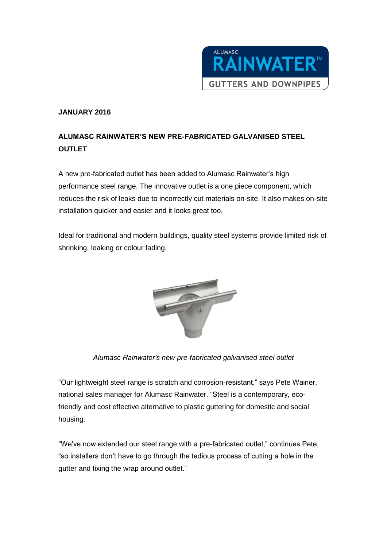

## **JANUARY 2016**

## **ALUMASC RAINWATER'S NEW PRE-FABRICATED GALVANISED STEEL OUTLET**

A new pre-fabricated outlet has been added to Alumasc Rainwater's high performance steel range. The innovative outlet is a one piece component, which reduces the risk of leaks due to incorrectly cut materials on-site. It also makes on-site installation quicker and easier and it looks great too.

Ideal for traditional and modern buildings, quality steel systems provide limited risk of shrinking, leaking or colour fading.



*Alumasc Rainwater's new pre-fabricated galvanised steel outlet*

"Our lightweight steel range is scratch and corrosion-resistant," says Pete Wainer, national sales manager for Alumasc Rainwater. "Steel is a contemporary, ecofriendly and cost effective alternative to plastic guttering for domestic and social housing.

"We've now extended our steel range with a pre-fabricated outlet," continues Pete, "so installers don't have to go through the tedious process of cutting a hole in the gutter and fixing the wrap around outlet."